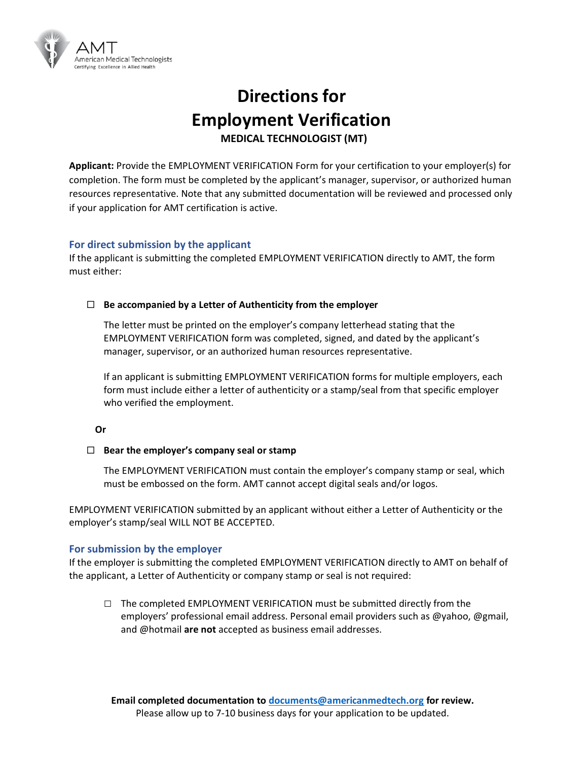

# **Directions for Employment Verification MEDICAL TECHNOLOGIST (MT)**

**Applicant:** Provide the EMPLOYMENT VERIFICATION Form for your certification to your employer(s) for completion. The form must be completed by the applicant's manager, supervisor, or authorized human resources representative. Note that any submitted documentation will be reviewed and processed only if your application for AMT certification is active.

### **For direct submission by the applicant**

If the applicant is submitting the completed EMPLOYMENT VERIFICATION directly to AMT, the form must either:

#### **Be accompanied by a Letter of Authenticity from the employer**

The letter must be printed on the employer's company letterhead stating that the EMPLOYMENT VERIFICATION form was completed, signed, and dated by the applicant's manager, supervisor, or an authorized human resources representative.

If an applicant is submitting EMPLOYMENT VERIFICATION forms for multiple employers, each form must include either a letter of authenticity or a stamp/seal from that specific employer who verified the employment.

#### **Or**

#### **Bear the employer's company seal or stamp**

The EMPLOYMENT VERIFICATION must contain the employer's company stamp or seal, which must be embossed on the form. AMT cannot accept digital seals and/or logos.

EMPLOYMENT VERIFICATION submitted by an applicant without either a Letter of Authenticity or the employer's stamp/seal WILL NOT BE ACCEPTED.

#### **For submission by the employer**

If the employer is submitting the completed EMPLOYMENT VERIFICATION directly to AMT on behalf of the applicant, a Letter of Authenticity or company stamp or seal is not required:

**□** The completed EMPLOYMENT VERIFICATION must be submitted directly from the employers' professional email address. Personal email providers such as @yahoo, @gmail, and @hotmail **are not** accepted as business email addresses.